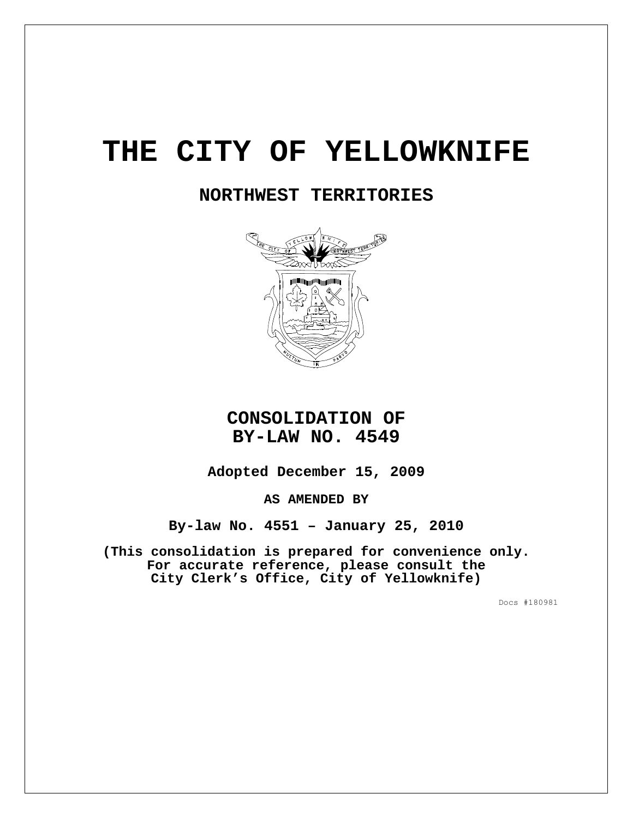# **THE CITY OF YELLOWKNIFE**

# **NORTHWEST TERRITORIES**



# **CONSOLIDATION OF BY-LAW NO. 4549**

**Adopted December 15, 2009**

**AS AMENDED BY** 

**By-law No. 4551 – January 25, 2010** 

**(This consolidation is prepared for convenience only. For accurate reference, please consult the City Clerk's Office, City of Yellowknife)**

Docs #180981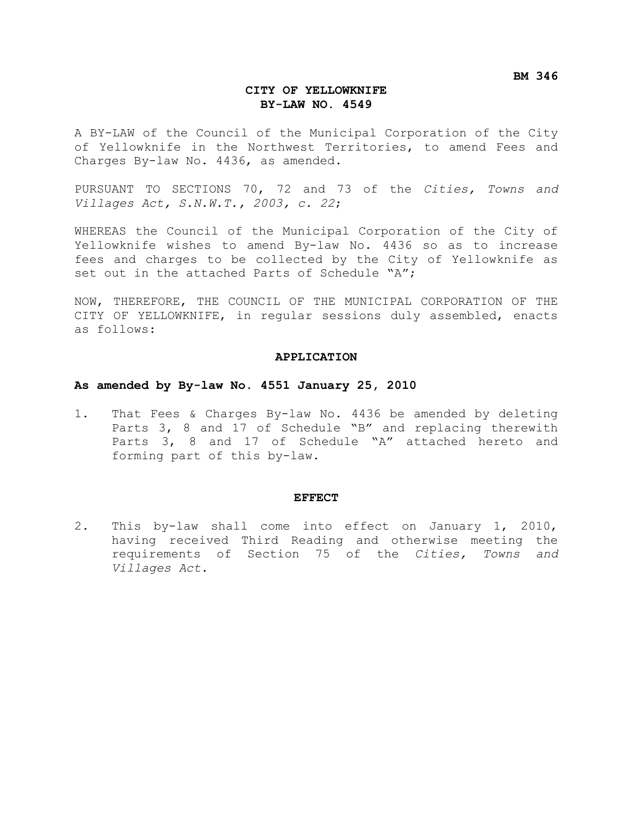**BM 346** 

#### **CITY OF YELLOWKNIFE BY-LAW NO. 4549**

A BY-LAW of the Council of the Municipal Corporation of the City of Yellowknife in the Northwest Territories, to amend Fees and Charges By-law No. 4436, as amended.

PURSUANT TO SECTIONS 70, 72 and 73 of the *Cities, Towns and Villages Act, S.N.W.T., 2003, c. 22*;

WHEREAS the Council of the Municipal Corporation of the City of Yellowknife wishes to amend By-law No. 4436 so as to increase fees and charges to be collected by the City of Yellowknife as set out in the attached Parts of Schedule "A";

NOW, THEREFORE, THE COUNCIL OF THE MUNICIPAL CORPORATION OF THE CITY OF YELLOWKNIFE, in regular sessions duly assembled, enacts as follows:

#### **APPLICATION**

#### **As amended by By-law No. 4551 January 25, 2010**

1. That Fees & Charges By-law No. 4436 be amended by deleting Parts 3, 8 and 17 of Schedule "B" and replacing therewith Parts 3, 8 and 17 of Schedule "A" attached hereto and forming part of this by-law.

#### **EFFECT**

2. This by-law shall come into effect on January 1, 2010, having received Third Reading and otherwise meeting the requirements of Section 75 of the *Cities, Towns and Villages Act.*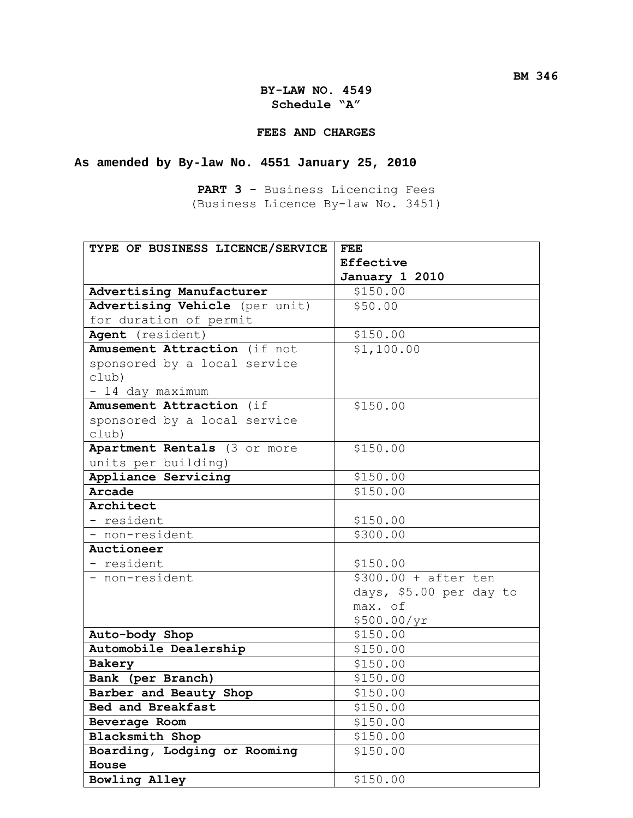#### **FEES AND CHARGES**

## **As amended by By-law No. 4551 January 25, 2010**

**PART 3** – Business Licencing Fees (Business Licence By-law No. 3451)

| TYPE OF BUSINESS LICENCE/SERVICE | <b>FEE</b>              |  |
|----------------------------------|-------------------------|--|
|                                  | Effective               |  |
|                                  | January 1 2010          |  |
| Advertising Manufacturer         | \$150.00                |  |
| Advertising Vehicle (per unit)   | \$50.00                 |  |
| for duration of permit           |                         |  |
| Agent (resident)                 | \$150.00                |  |
| Amusement Attraction (if not     | \$1,100.00              |  |
| sponsored by a local service     |                         |  |
| club)                            |                         |  |
| - 14 day maximum                 |                         |  |
| Amusement Attraction (if         | \$150.00                |  |
| sponsored by a local service     |                         |  |
| club)                            |                         |  |
| Apartment Rentals (3 or more     | \$150.00                |  |
| units per building)              |                         |  |
| Appliance Servicing              | \$150.00                |  |
| Arcade                           | \$150.00                |  |
| Architect                        |                         |  |
| - resident                       | \$150.00                |  |
| - non-resident                   | \$300.00                |  |
| Auctioneer                       |                         |  |
| - resident                       | \$150.00                |  |
| - non-resident                   | $$300.00 + after ten$   |  |
|                                  | days, \$5.00 per day to |  |
|                                  | max. of                 |  |
|                                  | \$500.00/yr             |  |
| Auto-body Shop                   | \$150.00                |  |
| Automobile Dealership            | \$150.00                |  |
| Bakery                           | \$150.00                |  |
| Bank (per Branch)                | \$150.00                |  |
| Barber and Beauty Shop           | \$150.00                |  |
| Bed and Breakfast                | \$150.00                |  |
| Beverage Room                    | \$150.00                |  |
| Blacksmith Shop                  | \$150.00                |  |
| Boarding, Lodging or Rooming     | \$150.00                |  |
| House                            |                         |  |
| Bowling Alley                    | \$150.00                |  |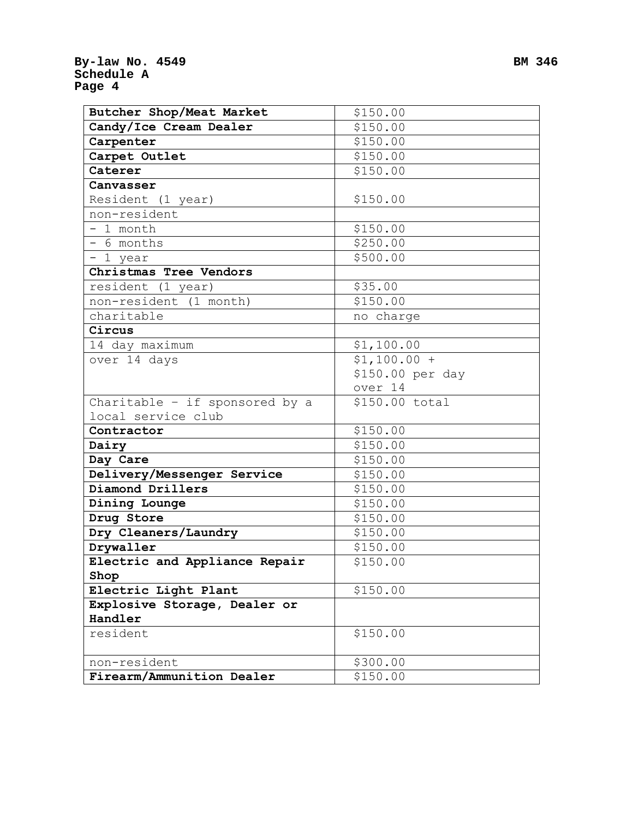| Butcher Shop/Meat Market       | \$150.00         |  |
|--------------------------------|------------------|--|
| Candy/Ice Cream Dealer         | \$150.00         |  |
| Carpenter                      | \$150.00         |  |
| Carpet Outlet                  | \$150.00         |  |
| Caterer                        | \$150.00         |  |
| Canvasser                      |                  |  |
| Resident (1 year)              | \$150.00         |  |
| non-resident                   |                  |  |
| - 1 month                      | \$150.00         |  |
| - 6 months                     | \$250.00         |  |
| - 1 year                       | \$500.00         |  |
| Christmas Tree Vendors         |                  |  |
| resident (1 year)              | \$35.00          |  |
| non-resident (1 month)         | \$150.00         |  |
| charitable                     | no charge        |  |
| Circus                         |                  |  |
| 14 day maximum                 | \$1,100.00       |  |
| over 14 days                   | $$1,100.00 +$    |  |
|                                | \$150.00 per day |  |
|                                | over 14          |  |
| Charitable - if sponsored by a | \$150.00 total   |  |
| local service club             |                  |  |
| Contractor                     | \$150.00         |  |
| Dairy                          | \$150.00         |  |
| Day Care                       | \$150.00         |  |
| Delivery/Messenger Service     | \$150.00         |  |
| Diamond Drillers               | \$150.00         |  |
| Dining Lounge                  | \$150.00         |  |
| Drug Store                     | \$150.00         |  |
| Dry Cleaners/Laundry           | \$150.00         |  |
| Drywaller                      | \$150.00         |  |
| Electric and Appliance Repair  | \$150.00         |  |
| Shop                           |                  |  |
| Electric Light Plant           | \$150.00         |  |
| Explosive Storage, Dealer or   |                  |  |
| Handler                        |                  |  |
| resident                       | \$150.00         |  |
|                                |                  |  |
| non-resident                   | \$300.00         |  |
| Firearm/Ammunition Dealer      | \$150.00         |  |

 $\overline{a}$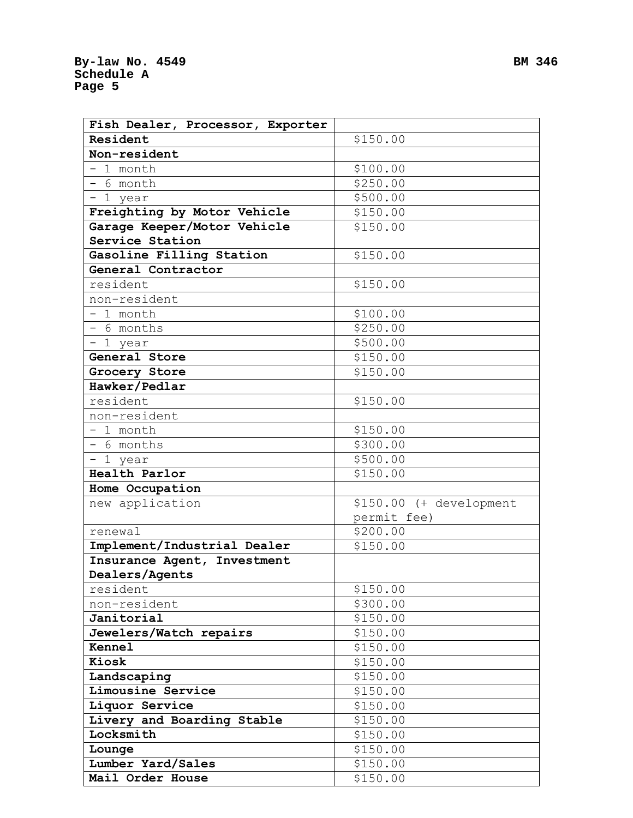| Fish Dealer, Processor, Exporter |                         |
|----------------------------------|-------------------------|
| Resident                         | \$150.00                |
| Non-resident                     |                         |
| $-1$ month                       | \$100.00                |
| - 6 month                        | \$250.00                |
| - 1 year                         | \$500.00                |
| Freighting by Motor Vehicle      | \$150.00                |
| Garage Keeper/Motor Vehicle      | \$150.00                |
| Service Station                  |                         |
| Gasoline Filling Station         | \$150.00                |
| General Contractor               |                         |
| resident                         | \$150.00                |
| non-resident                     |                         |
| - 1 month                        | \$100.00                |
| - 6 months                       | \$250.00                |
| - 1 year                         | \$500.00                |
| General Store                    | \$150.00                |
| Grocery Store                    | \$150.00                |
| Hawker/Pedlar                    |                         |
| resident                         | \$150.00                |
| non-resident                     |                         |
| - 1 month                        | \$150.00                |
| - 6 months                       | \$300.00                |
| - 1 year                         | \$500.00                |
| Health Parlor                    | \$150.00                |
| Home Occupation                  |                         |
| new application                  | \$150.00 (+ development |
|                                  | permit fee)             |
| renewal                          | \$200.00                |
| Implement/Industrial Dealer      | \$150.00                |
| Insurance Agent, Investment      |                         |
| Dealers/Agents                   |                         |
| resident                         | \$150.00                |
| non-resident                     | \$300.00                |
| Janitorial                       | \$150.00                |
| Jewelers/Watch repairs           | \$150.00                |
| Kennel                           | \$150.00                |
| Kiosk                            | \$150.00                |
| Landscaping                      | \$150.00                |
| Limousine Service                | \$150.00                |
| Liquor Service                   | \$150.00                |
| Livery and Boarding Stable       | \$150.00                |
| Locksmith                        | \$150.00                |
| Lounge                           | \$150.00                |
| Lumber Yard/Sales                | \$150.00                |
| Mail Order House                 | \$150.00                |
|                                  |                         |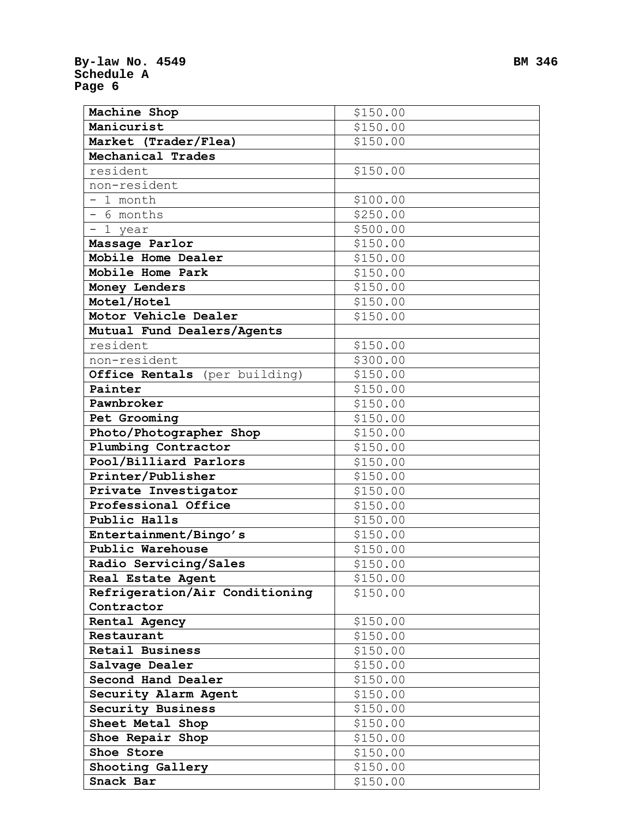| Machine Shop                   | \$150.00 |
|--------------------------------|----------|
| Manicurist                     | \$150.00 |
| Market (Trader/Flea)           | \$150.00 |
| Mechanical Trades              |          |
| resident                       | \$150.00 |
| non-resident                   |          |
| $-1$ month                     | \$100.00 |
| - 6 months                     | \$250.00 |
| $-1$ year                      | \$500.00 |
| Massage Parlor                 | \$150.00 |
| Mobile Home Dealer             | \$150.00 |
| Mobile Home Park               | \$150.00 |
| Money Lenders                  | \$150.00 |
| Motel/Hotel                    | \$150.00 |
| Motor Vehicle Dealer           | \$150.00 |
| Mutual Fund Dealers/Agents     |          |
| resident                       | \$150.00 |
| non-resident                   | \$300.00 |
| Office Rentals (per building)  | \$150.00 |
| Painter                        | \$150.00 |
| Pawnbroker                     | \$150.00 |
| Pet Grooming                   | \$150.00 |
| Photo/Photographer Shop        | \$150.00 |
| Plumbing Contractor            | \$150.00 |
| Pool/Billiard Parlors          | \$150.00 |
| Printer/Publisher              | \$150.00 |
| Private Investigator           | \$150.00 |
| Professional Office            | \$150.00 |
| Public Halls                   | \$150.00 |
| Entertainment/Bingo's          | \$150.00 |
| Public Warehouse               | \$150.00 |
| Radio Servicing/Sales          | \$150.00 |
| Real Estate Agent              | \$150.00 |
| Refrigeration/Air Conditioning | \$150.00 |
| Contractor                     |          |
| Rental Agency                  | \$150.00 |
| Restaurant                     | \$150.00 |
| Retail Business                | \$150.00 |
| Salvage Dealer                 | \$150.00 |
| Second Hand Dealer             | \$150.00 |
| Security Alarm Agent           | \$150.00 |
| Security Business              | \$150.00 |
| Sheet Metal Shop               | \$150.00 |
| Shoe Repair Shop               | \$150.00 |
| Shoe Store                     | \$150.00 |
| Shooting Gallery               | \$150.00 |
| Snack Bar                      | \$150.00 |
|                                |          |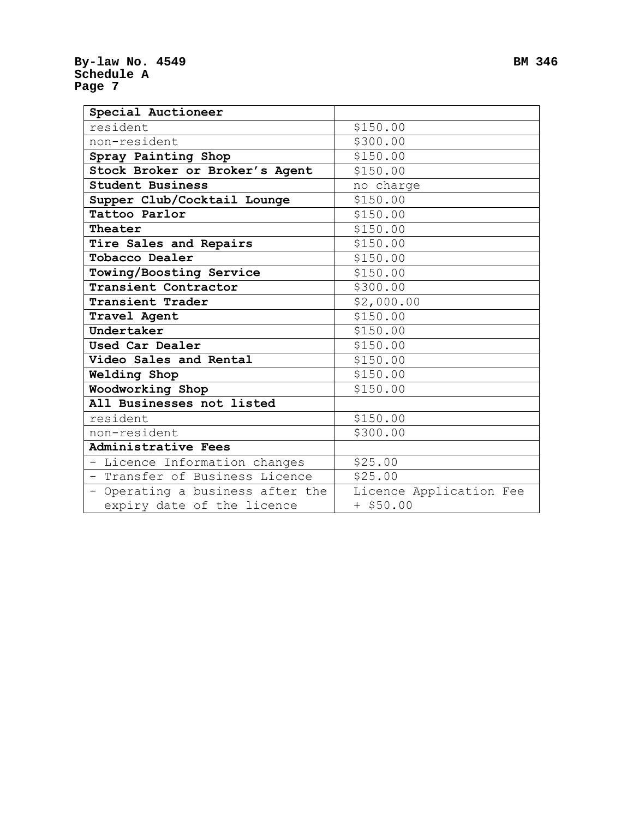| Special Auctioneer               |                         |  |
|----------------------------------|-------------------------|--|
| resident                         | \$150.00                |  |
| non-resident                     | \$300.00                |  |
| Spray Painting Shop              | \$150.00                |  |
| Stock Broker or Broker's Agent   | \$150.00                |  |
| <b>Student Business</b>          | no charge               |  |
| Supper Club/Cocktail Lounge      | \$150.00                |  |
| Tattoo Parlor                    | \$150.00                |  |
| Theater                          | \$150.00                |  |
| Tire Sales and Repairs           | \$150.00                |  |
| Tobacco Dealer                   | \$150.00                |  |
| Towing/Boosting Service          | \$150.00                |  |
| Transient Contractor             | \$300.00                |  |
| Transient Trader                 | \$2,000.00              |  |
| Travel Agent                     | \$150.00                |  |
| Undertaker                       | \$150.00                |  |
| Used Car Dealer                  | \$150.00                |  |
| Video Sales and Rental           | \$150.00                |  |
| Welding Shop                     | \$150.00                |  |
| Woodworking Shop                 | \$150.00                |  |
| All Businesses not listed        |                         |  |
| resident                         | \$150.00                |  |
| non-resident                     | \$300.00                |  |
| Administrative Fees              |                         |  |
| - Licence Information changes    | \$25.00                 |  |
| - Transfer of Business Licence   | \$25.00                 |  |
| - Operating a business after the | Licence Application Fee |  |
| expiry date of the licence       | $+$ \$50.00             |  |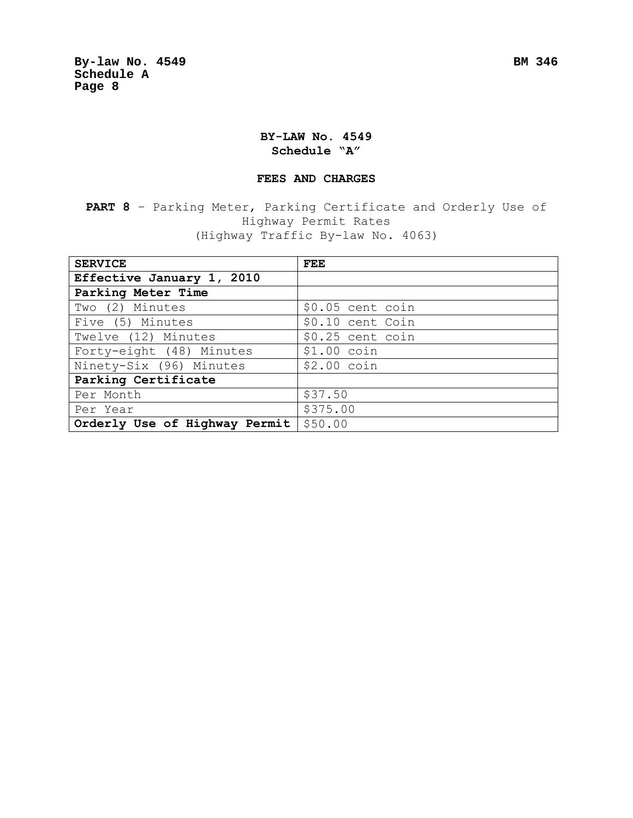## **BY-LAW No. 4549 Schedule "A"**

#### **FEES AND CHARGES**

**PART 8** – Parking Meter, Parking Certificate and Orderly Use of Highway Permit Rates (Highway Traffic By-law No. 4063)

| <b>SERVICE</b>                | FEE              |
|-------------------------------|------------------|
| Effective January 1, 2010     |                  |
| Parking Meter Time            |                  |
| Two (2) Minutes               | \$0.05 cent coin |
| Five (5) Minutes              | \$0.10 cent Coin |
| Twelve (12) Minutes           | \$0.25 cent coin |
| Forty-eight (48) Minutes      | $$1.00$ coin     |
| Ninety-Six (96) Minutes       | $$2.00$ coin     |
| Parking Certificate           |                  |
| Per Month                     | \$37.50          |
| Per Year                      | \$375.00         |
| Orderly Use of Highway Permit | \$50.00          |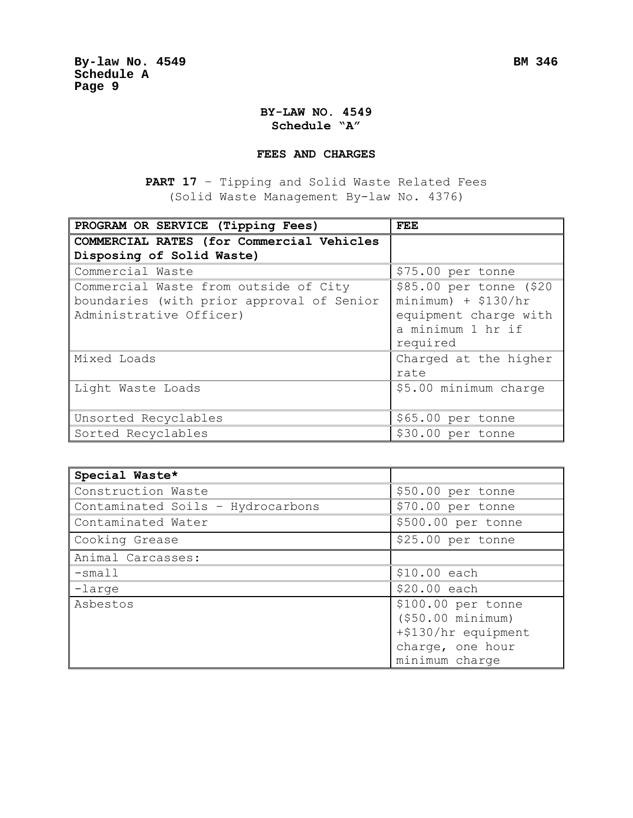### **BY-LAW NO. 4549 Schedule "A"**

#### **FEES AND CHARGES**

**PART 17** – Tipping and Solid Waste Related Fees (Solid Waste Management By-law No. 4376)

| PROGRAM OR SERVICE (Tipping Fees)                                                                             | FEE                                                                                                        |
|---------------------------------------------------------------------------------------------------------------|------------------------------------------------------------------------------------------------------------|
| COMMERCIAL RATES (for Commercial Vehicles<br>Disposing of Solid Waste)                                        |                                                                                                            |
| Commercial Waste                                                                                              | \$75.00 per tonne                                                                                          |
| Commercial Waste from outside of City<br>boundaries (with prior approval of Senior<br>Administrative Officer) | \$85.00 per tonne (\$20<br>$minimum)$ + \$130/hr<br>equipment charge with<br>a minimum 1 hr if<br>required |
| Mixed Loads                                                                                                   | Charged at the higher<br>rate                                                                              |
| Light Waste Loads                                                                                             | \$5.00 minimum charge                                                                                      |
| Unsorted Recyclables                                                                                          | \$65.00 per tonne                                                                                          |
| Sorted Recyclables                                                                                            | \$30.00 per tonne                                                                                          |

| Special Waste*                    |                                         |
|-----------------------------------|-----------------------------------------|
| Construction Waste                | \$50.00 per tonne                       |
| Contaminated Soils - Hydrocarbons | \$70.00 per tonne                       |
| Contaminated Water                | \$500.00 per tonne                      |
| Cooking Grease                    | \$25.00 per tonne                       |
| Animal Carcasses:                 |                                         |
| $-$ small                         | \$10.00 each                            |
| -large                            | \$20.00 each                            |
| Asbestos                          | \$100.00 per tonne<br>(\$50.00 minimum) |
|                                   | +\$130/hr equipment                     |
|                                   | charge, one hour                        |
|                                   | minimum charge                          |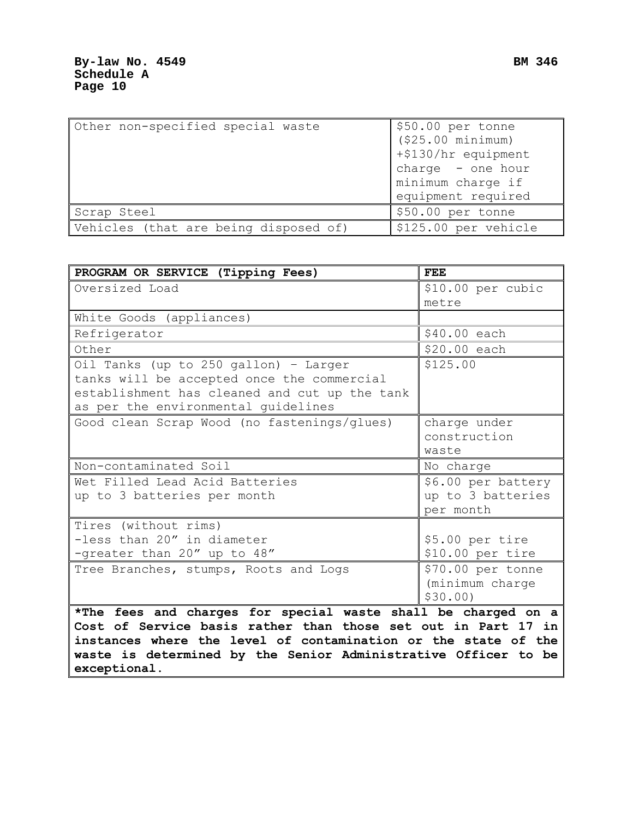| Other non-specified special waste     | \$50.00 per tonne    |
|---------------------------------------|----------------------|
|                                       | ( \$25.00 minimum)   |
|                                       | +\$130/hr equipment  |
|                                       | charge - one hour    |
|                                       | minimum charge if    |
|                                       | equipment required   |
| Scrap Steel                           | \$50.00 per tonne    |
| Vehicles (that are being disposed of) | \$125.00 per vehicle |

| PROGRAM OR SERVICE (Tipping Fees)                              | <b>FEE</b>         |
|----------------------------------------------------------------|--------------------|
| Oversized Load                                                 | \$10.00 per cubic  |
|                                                                | metre              |
| White Goods (appliances)                                       |                    |
| Refrigerator                                                   | \$40.00 each       |
| Other                                                          | \$20.00 each       |
| Oil Tanks (up to 250 gallon) - Larger                          | \$125.00           |
| tanks will be accepted once the commercial                     |                    |
| establishment has cleaned and cut up the tank                  |                    |
| as per the environmental guidelines                            |                    |
| Good clean Scrap Wood (no fastenings/glues)                    | charge under       |
|                                                                | construction       |
|                                                                | waste              |
| Non-contaminated Soil                                          | No charge          |
| Wet Filled Lead Acid Batteries                                 | \$6.00 per battery |
| up to 3 batteries per month                                    | up to 3 batteries  |
|                                                                | per month          |
| Tires (without rims)                                           |                    |
| -less than 20" in diameter                                     | \$5.00 per tire    |
| -greater than 20" up to 48"                                    | \$10.00 per tire   |
| Tree Branches, stumps, Roots and Logs                          | \$70.00 per tonne  |
|                                                                | (minimum charge    |
|                                                                | \$30.00            |
| *The fees and charges for special waste shall be charged on a  |                    |
| Cost of Service basis rather than those set out in Part 17 in  |                    |
| instances where the level of contamination or the state of the |                    |
| waste is determined by the Senior Administrative Officer to be |                    |
| exceptional.                                                   |                    |